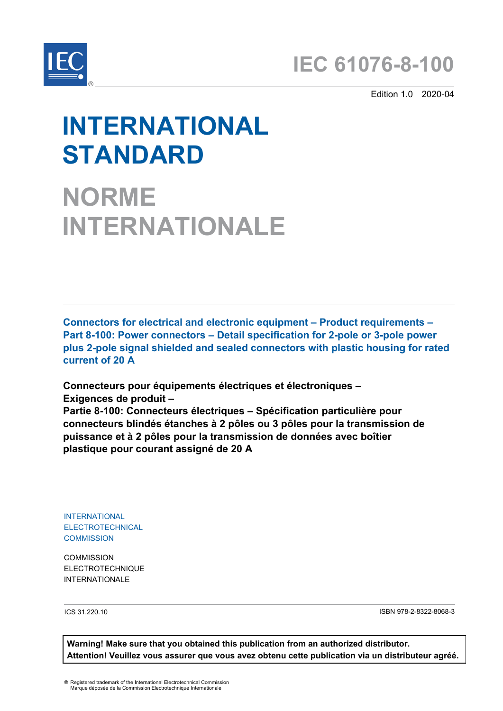

Edition 1.0 2020-04

# **INTERNATIONAL STANDARD**

**NORME INTERNATIONALE**

**Connectors for electrical and electronic equipment – Product requirements – Part 8-100: Power connectors – Detail specification for 2-pole or 3-pole power plus 2-pole signal shielded and sealed connectors with plastic housing for rated current of 20 A** 

**Connecteurs pour équipements électriques et électroniques – Exigences de produit –** 

**Partie 8-100: Connecteurs électriques – Spécification particulière pour connecteurs blindés étanches à 2 pôles ou 3 pôles pour la transmission de puissance et à 2 pôles pour la transmission de données avec boîtier plastique pour courant assigné de 20 A**

INTERNATIONAL **ELECTROTECHNICAL COMMISSION** 

**COMMISSION** ELECTROTECHNIQUE INTERNATIONALE

ICS 31.220.10 ISBN 978-2-8322-8068-3

**Warning! Make sure that you obtained this publication from an authorized distributor. Attention! Veuillez vous assurer que vous avez obtenu cette publication via un distributeur agréé.**

® Registered trademark of the International Electrotechnical Commission Marque déposée de la Commission Electrotechnique Internationale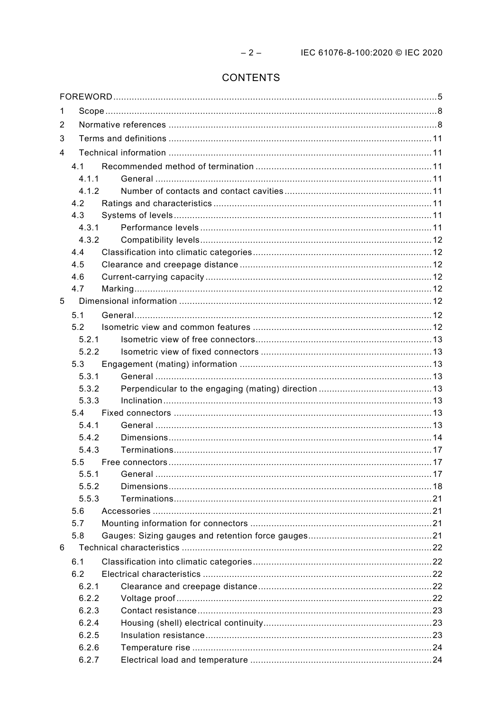# CONTENTS

| 1 |       |  |  |
|---|-------|--|--|
| 2 |       |  |  |
| 3 |       |  |  |
| 4 |       |  |  |
|   | 4.1   |  |  |
|   | 4.1.1 |  |  |
|   | 4.1.2 |  |  |
|   | 4.2   |  |  |
|   | 4.3   |  |  |
|   | 4.3.1 |  |  |
|   | 4.3.2 |  |  |
|   | 4.4   |  |  |
|   | 4.5   |  |  |
|   | 4.6   |  |  |
|   | 4.7   |  |  |
| 5 |       |  |  |
|   | 5.1   |  |  |
|   | 5.2   |  |  |
|   | 5.2.1 |  |  |
|   | 5.2.2 |  |  |
|   | 5.3   |  |  |
|   | 5.3.1 |  |  |
|   | 5.3.2 |  |  |
|   | 5.3.3 |  |  |
|   | 5.4   |  |  |
|   | 5.4.1 |  |  |
|   | 5.4.2 |  |  |
|   | 5.4.3 |  |  |
|   | 5.5   |  |  |
|   | 5.5.1 |  |  |
|   | 5.5.2 |  |  |
|   | 5.5.3 |  |  |
|   | 5.6   |  |  |
|   | 5.7   |  |  |
|   | 5.8   |  |  |
| 6 |       |  |  |
|   | 6.1   |  |  |
|   | 6.2   |  |  |
|   | 6.2.1 |  |  |
|   | 6.2.2 |  |  |
|   | 6.2.3 |  |  |
|   | 6.2.4 |  |  |
|   | 6.2.5 |  |  |
|   |       |  |  |
|   | 6.2.6 |  |  |
|   | 6.2.7 |  |  |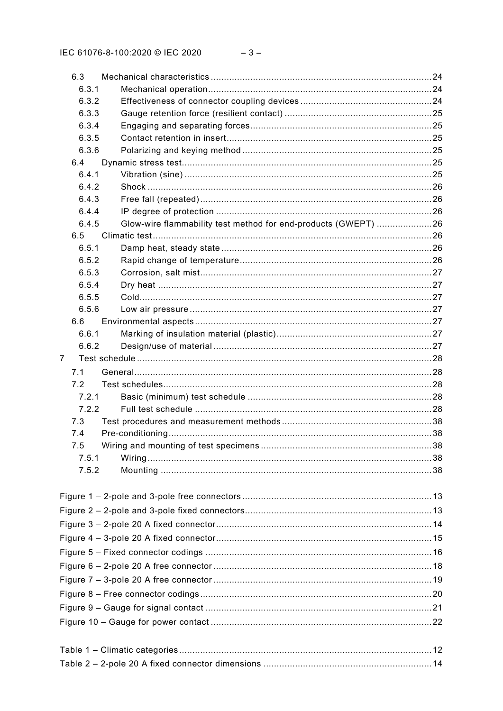| 6.3        |                                                                |     |  |
|------------|----------------------------------------------------------------|-----|--|
| 6.3.1      |                                                                |     |  |
| 6.3.2      |                                                                |     |  |
| 6.3.3      |                                                                |     |  |
| 6.3.4      |                                                                |     |  |
| 6.3.5      |                                                                |     |  |
| 6.3.6      |                                                                |     |  |
| 6.4        |                                                                |     |  |
| 6.4.1      |                                                                |     |  |
| 6.4.2      |                                                                |     |  |
| 6.4.3      |                                                                |     |  |
| 6.4.4      |                                                                |     |  |
| 6.4.5      | Glow-wire flammability test method for end-products (GWEPT) 26 |     |  |
| 6.5        |                                                                |     |  |
| 6.5.1      |                                                                |     |  |
| 6.5.2      |                                                                |     |  |
| 6.5.3      |                                                                |     |  |
| 6.5.4      |                                                                |     |  |
| 6.5.5      |                                                                |     |  |
| 6.5.6      |                                                                |     |  |
| 6.6        |                                                                |     |  |
| 6.6.1      |                                                                |     |  |
| 6.6.2      |                                                                |     |  |
| 7          |                                                                |     |  |
| 7.1        |                                                                |     |  |
| 7.2        |                                                                |     |  |
| 7.2.1      |                                                                |     |  |
| 7.2.2      |                                                                |     |  |
| 7.3<br>7.4 |                                                                |     |  |
| 7.5        | Wiring and mounting of test specimens                          | .38 |  |
| 7.5.1      |                                                                |     |  |
| 7.5.2      |                                                                |     |  |
|            |                                                                |     |  |
|            |                                                                |     |  |
|            |                                                                |     |  |
|            |                                                                |     |  |
|            |                                                                |     |  |
|            |                                                                |     |  |
|            |                                                                |     |  |
|            |                                                                |     |  |
|            |                                                                |     |  |
|            |                                                                |     |  |
|            |                                                                |     |  |
|            |                                                                |     |  |
|            |                                                                |     |  |
|            |                                                                |     |  |
|            |                                                                |     |  |
|            |                                                                |     |  |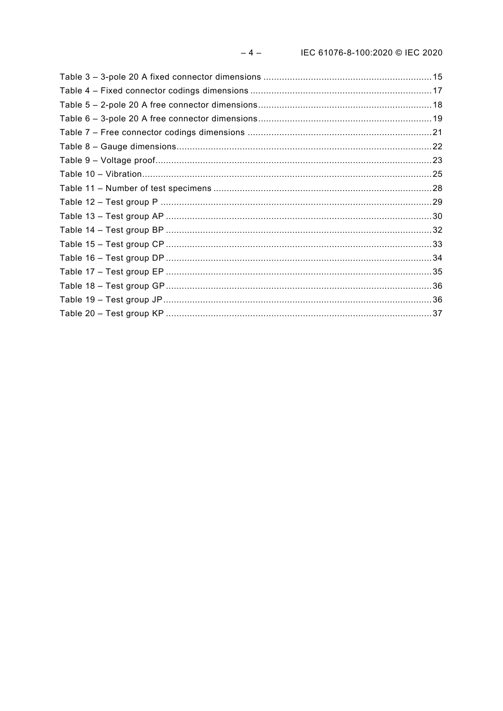# $-4 -$  IEC 61076-8-100:2020 © IEC 2020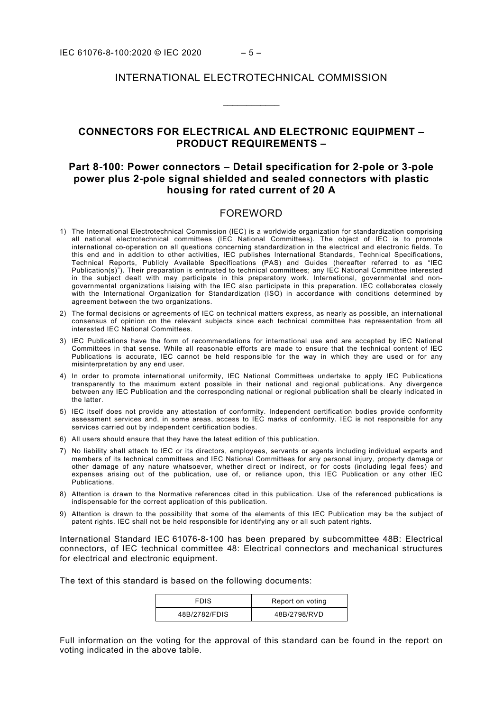#### INTERNATIONAL ELECTROTECHNICAL COMMISSION

\_\_\_\_\_\_\_\_\_\_\_\_

## **CONNECTORS FOR ELECTRICAL AND ELECTRONIC EQUIPMENT – PRODUCT REQUIREMENTS –**

## **Part 8-100: Power connectors – Detail specification for 2-pole or 3-pole power plus 2-pole signal shielded and sealed connectors with plastic housing for rated current of 20 A**

#### FOREWORD

- <span id="page-4-0"></span>1) The International Electrotechnical Commission (IEC) is a worldwide organization for standardization comprising all national electrotechnical committees (IEC National Committees). The object of IEC is to promote international co-operation on all questions concerning standardization in the electrical and electronic fields. To this end and in addition to other activities, IEC publishes International Standards, Technical Specifications, Technical Reports, Publicly Available Specifications (PAS) and Guides (hereafter referred to as "IEC Publication(s)"). Their preparation is entrusted to technical committees; any IEC National Committee interested in the subject dealt with may participate in this preparatory work. International, governmental and nongovernmental organizations liaising with the IEC also participate in this preparation. IEC collaborates closely with the International Organization for Standardization (ISO) in accordance with conditions determined by agreement between the two organizations.
- 2) The formal decisions or agreements of IEC on technical matters express, as nearly as possible, an international consensus of opinion on the relevant subjects since each technical committee has representation from all interested IEC National Committees.
- 3) IEC Publications have the form of recommendations for international use and are accepted by IEC National Committees in that sense. While all reasonable efforts are made to ensure that the technical content of IEC Publications is accurate, IEC cannot be held responsible for the way in which they are used or for any misinterpretation by any end user.
- 4) In order to promote international uniformity, IEC National Committees undertake to apply IEC Publications transparently to the maximum extent possible in their national and regional publications. Any divergence between any IEC Publication and the corresponding national or regional publication shall be clearly indicated in the latter.
- 5) IEC itself does not provide any attestation of conformity. Independent certification bodies provide conformity assessment services and, in some areas, access to IEC marks of conformity. IEC is not responsible for any services carried out by independent certification bodies.
- 6) All users should ensure that they have the latest edition of this publication.
- 7) No liability shall attach to IEC or its directors, employees, servants or agents including individual experts and members of its technical committees and IEC National Committees for any personal injury, property damage or other damage of any nature whatsoever, whether direct or indirect, or for costs (including legal fees) and expenses arising out of the publication, use of, or reliance upon, this IEC Publication or any other IEC Publications.
- 8) Attention is drawn to the Normative references cited in this publication. Use of the referenced publications is indispensable for the correct application of this publication.
- 9) Attention is drawn to the possibility that some of the elements of this IEC Publication may be the subject of patent rights. IEC shall not be held responsible for identifying any or all such patent rights.

International Standard IEC 61076-8-100 has been prepared by subcommittee 48B: Electrical connectors, of IEC technical committee 48: Electrical connectors and mechanical structures for electrical and electronic equipment.

The text of this standard is based on the following documents:

| FDIS          | Report on voting |
|---------------|------------------|
| 48B/2782/FDIS | 48B/2798/RVD     |

Full information on the voting for the approval of this standard can be found in the report on voting indicated in the above table.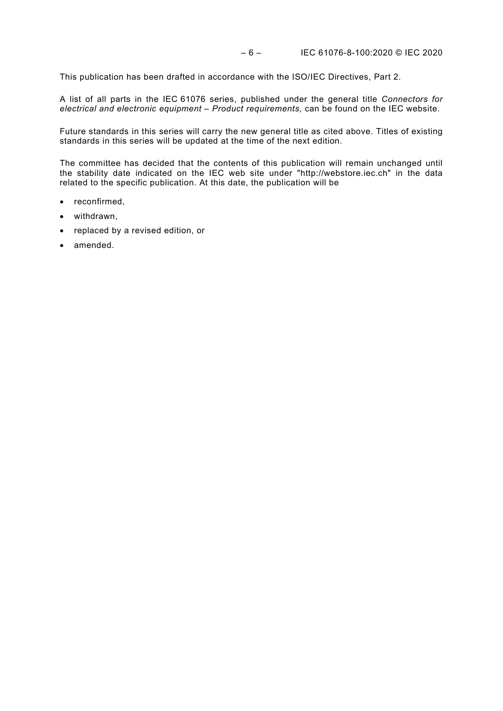This publication has been drafted in accordance with the ISO/IEC Directives, Part 2.

A list of all parts in the IEC 61076 series, published under the general title *Connectors for electrical and electronic equipment – Product requirements*, can be found on the IEC website.

Future standards in this series will carry the new general title as cited above. Titles of existing standards in this series will be updated at the time of the next edition.

The committee has decided that the contents of this publication will remain unchanged until the stability date indicated on the IEC web site under "http://webstore.iec.ch" in the data related to the specific publication. At this date, the publication will be

- reconfirmed,
- withdrawn,
- replaced by a revised edition, or
- amended.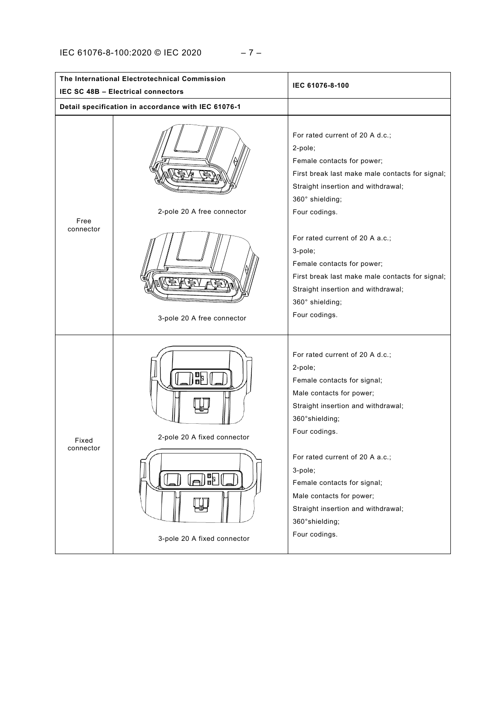|                    | The International Electrotechnical Commission                                      | IEC 61076-8-100                                                                                                                                                                                                                                                                                                                                                  |
|--------------------|------------------------------------------------------------------------------------|------------------------------------------------------------------------------------------------------------------------------------------------------------------------------------------------------------------------------------------------------------------------------------------------------------------------------------------------------------------|
|                    | IEC SC 48B - Electrical connectors                                                 |                                                                                                                                                                                                                                                                                                                                                                  |
|                    | Detail specification in accordance with IEC 61076-1                                |                                                                                                                                                                                                                                                                                                                                                                  |
| Free<br>connector  | 2-pole 20 A free connector                                                         | For rated current of 20 A d.c.;<br>2-pole;<br>Female contacts for power;<br>First break last make male contacts for signal;<br>Straight insertion and withdrawal;<br>360° shielding;<br>Four codings.<br>For rated current of 20 A a.c.;<br>3-pole;<br>Female contacts for power;                                                                                |
|                    | 3-pole 20 A free connector                                                         | First break last make male contacts for signal;<br>Straight insertion and withdrawal;<br>360° shielding;<br>Four codings.                                                                                                                                                                                                                                        |
| Fixed<br>connector | п<br>Þ<br>2-pole 20 A fixed connector<br><b>die</b><br>3-pole 20 A fixed connector | For rated current of 20 A d.c.;<br>2-pole;<br>Female contacts for signal;<br>Male contacts for power;<br>Straight insertion and withdrawal;<br>360°shielding;<br>Four codings.<br>For rated current of 20 A a.c.;<br>3-pole;<br>Female contacts for signal;<br>Male contacts for power;<br>Straight insertion and withdrawal;<br>360°shielding;<br>Four codings. |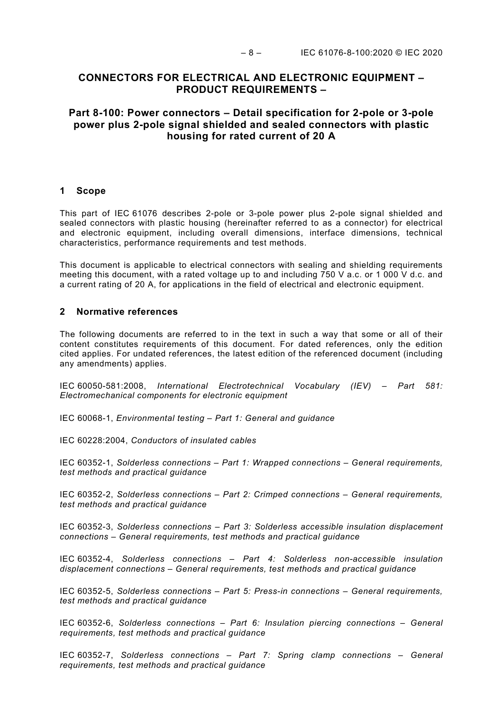## **CONNECTORS FOR ELECTRICAL AND ELECTRONIC EQUIPMENT – PRODUCT REQUIREMENTS –**

# **Part 8-100: Power connectors – Detail specification for 2-pole or 3-pole power plus 2-pole signal shielded and sealed connectors with plastic housing for rated current of 20 A**

#### <span id="page-7-0"></span>**1 Scope**

This part of IEC 61076 describes 2-pole or 3-pole power plus 2-pole signal shielded and sealed connectors with plastic housing (hereinafter referred to as a connector) for electrical and electronic equipment, including overall dimensions, interface dimensions, technical characteristics, performance requirements and test methods.

This document is applicable to electrical connectors with sealing and shielding requirements meeting this document, with a rated voltage up to and including 750 V a.c. or 1 000 V d.c. and a current rating of 20 A, for applications in the field of electrical and electronic equipment.

#### <span id="page-7-1"></span>**2 Normative references**

The following documents are referred to in the text in such a way that some or all of their content constitutes requirements of this document. For dated references, only the edition cited applies. For undated references, the latest edition of the referenced document (including any amendments) applies.

IEC 60050-581:2008, *International Electrotechnical Vocabulary (IEV) – Part 581: Electromechanical components for electronic equipment*

IEC 60068-1, *Environmental testing – Part 1: General and guidance*

IEC 60228:2004, *Conductors of insulated cables*

IEC 60352-1, *Solderless connections – Part 1: Wrapped connections – General requirements, test methods and practical guidance*

IEC 60352-2, *Solderless connections – Part 2: Crimped connections – General requirements, test methods and practical guidance*

IEC 60352-3, *Solderless connections – Part 3: Solderless accessible insulation displacement connections – General requirements, test methods and practical guidance*

IEC 60352-4, *Solderless connections – Part 4: Solderless non-accessible insulation displacement connections – General requirements, test methods and practical guidance*

IEC 60352-5, *Solderless connections – Part 5: Press-in connections – General requirements, test methods and practical guidance*

IEC 60352-6, *Solderless connections – Part 6: Insulation piercing connections – General requirements, test methods and practical guidance*

IEC 60352-7, *Solderless connections – Part 7: Spring clamp connections – General requirements, test methods and practical guidance*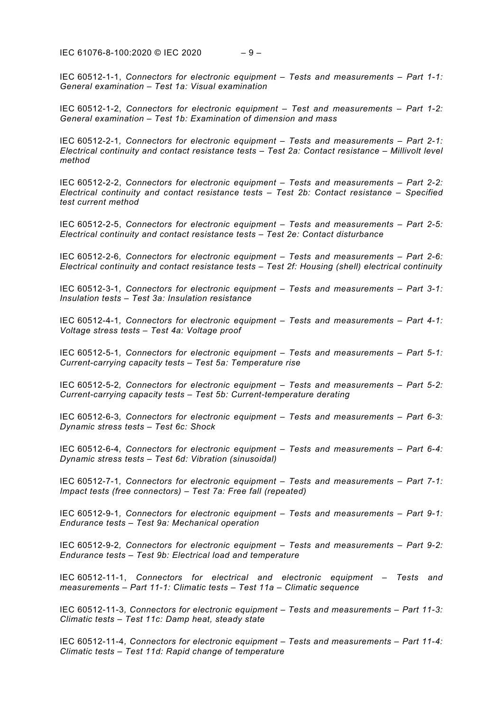IEC 61076-8-100:2020 © IEC 2020 – 9 –

IEC 60512-1-1, *Connectors for electronic equipment – Tests and measurements – Part 1-1: General examination – Test 1a: Visual examination*

IEC 60512-1-2, *Connectors for electronic equipment – Test and measurements – Part 1-2: General examination – Test 1b: Examination of dimension and mass*

IEC 60512-2-1*, Connectors for electronic equipment – Tests and measurements – Part 2-1: Electrical continuity and contact resistance tests – Test 2a: Contact resistance – Millivolt level method*

IEC 60512-2-2, *Connectors for electronic equipment – Tests and measurements – Part 2-2: Electrical continuity and contact resistance tests – Test 2b: Contact resistance – Specified test current method*

IEC 60512-2-5, *Connectors for electronic equipment – Tests and measurements – Part 2-5: Electrical continuity and contact resistance tests – Test 2e: Contact disturbance*

IEC 60512-2-6*, Connectors for electronic equipment – Tests and measurements – Part 2-6: Electrical continuity and contact resistance tests – Test 2f: Housing (shell) electrical continuity*

IEC 60512-3-1*, Connectors for electronic equipment – Tests and measurements – Part 3-1: Insulation tests – Test 3a: Insulation resistance*

IEC 60512-4-1*, Connectors for electronic equipment – Tests and measurements – Part 4-1: Voltage stress tests – Test 4a: Voltage proof*

IEC 60512-5-1*, Connectors for electronic equipment – Tests and measurements – Part 5-1: Current-carrying capacity tests – Test 5a: Temperature rise*

IEC 60512-5-2*, Connectors for electronic equipment – Tests and measurements – Part 5-2: Current-carrying capacity tests – Test 5b: Current-temperature derating*

IEC 60512-6-3*, Connectors for electronic equipment – Tests and measurements – Part 6-3: Dynamic stress tests – Test 6c: Shock*

IEC 60512-6-4*, Connectors for electronic equipment – Tests and measurements – Part 6-4: Dynamic stress tests – Test 6d: Vibration (sinusoidal)*

IEC 60512-7-1*, Connectors for electronic equipment – Tests and measurements – Part 7-1: Impact tests (free connectors) – Test 7a: Free fall (repeated)*

IEC 60512-9-1*, Connectors for electronic equipment – Tests and measurements – Part 9-1: Endurance tests – Test 9a: Mechanical operation*

IEC 60512-9-2*, Connectors for electronic equipment – Tests and measurements – Part 9-2: Endurance tests – Test 9b: Electrical load and temperature*

IEC 60512-11-1, *Connectors for electrical and electronic equipment – Tests and measurements – Part 11-1: Climatic tests – Test 11a – Climatic sequence*

IEC 60512-11-3*, Connectors for electronic equipment – Tests and measurements – Part 11-3: Climatic tests – Test 11c: Damp heat, steady state*

IEC 60512-11-4*, Connectors for electronic equipment – Tests and measurements – Part 11-4: Climatic tests – Test 11d: Rapid change of temperature*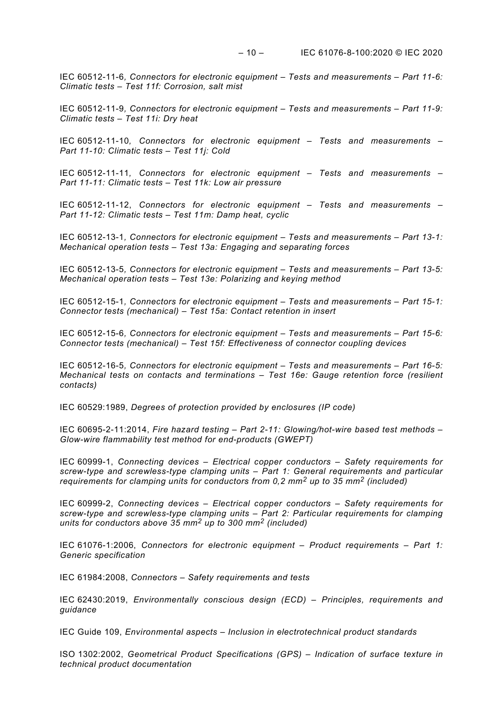IEC 60512-11-6*, Connectors for electronic equipment – Tests and measurements – Part 11-6: Climatic tests – Test 11f: Corrosion, salt mist*

IEC 60512-11-9*, Connectors for electronic equipment – Tests and measurements – Part 11-9: Climatic tests – Test 11i: Dry heat*

IEC 60512-11-10*, Connectors for electronic equipment – Tests and measurements – Part 11-10: Climatic tests – Test 11j: Cold*

IEC 60512-11-11*, Connectors for electronic equipment – Tests and measurements – Part 11-11: Climatic tests – Test 11k: Low air pressure*

IEC 60512-11-12, *Connectors for electronic equipment – Tests and measurements – Part 11-12: Climatic tests – Test 11m: Damp heat, cyclic*

IEC 60512-13-1*, Connectors for electronic equipment – Tests and measurements – Part 13-1: Mechanical operation tests – Test 13a: Engaging and separating forces*

IEC 60512-13-5*, Connectors for electronic equipment – Tests and measurements – Part 13-5: Mechanical operation tests – Test 13e: Polarizing and keying method* 

IEC 60512-15-1*, Connectors for electronic equipment – Tests and measurements – Part 15-1: Connector tests (mechanical) – Test 15a: Contact retention in insert*

IEC 60512-15-6*, Connectors for electronic equipment – Tests and measurements – Part 15-6: Connector tests (mechanical) – Test 15f: Effectiveness of connector coupling devices*

IEC 60512-16-5*, Connectors for electronic equipment – Tests and measurements – Part 16-5: Mechanical tests on contacts and terminations – Test 16e: Gauge retention force (resilient contacts)*

IEC 60529:1989, *Degrees of protection provided by enclosures (IP code)*

IEC 60695-2-11:2014, *Fire hazard testing – Part 2-11: Glowing/hot-wire based test methods – Glow-wire flammability test method for end-products (GWEPT)*

IEC 60999-1, *Connecting devices – Electrical copper conductors – Safety requirements for screw-type and screwless-type clamping units – Part 1: General requirements and particular requirements for clamping units for conductors from 0,2 mm<sup>2</sup> up to 35 mm<sup>2</sup> (included)*

IEC 60999-2, *Connecting devices – Electrical copper conductors – Safety requirements for screw-type and screwless-type clamping units – Part 2: Particular requirements for clamping units for conductors above 35 mm<sup>2</sup> up to 300 mm<sup>2</sup> (included)*

IEC 61076-1:2006, *Connectors for electronic equipment – Product requirements – Part 1: Generic specification*

IEC 61984:2008, *Connectors – Safety requirements and tests*

IEC 62430:2019, *Environmentally conscious design (ECD) – Principles, requirements and guidance*

IEC Guide 109, *Environmental aspects – Inclusion in electrotechnical product standards*

ISO 1302:2002, *Geometrical Product Specifications (GPS) – Indication of surface texture in technical product documentation*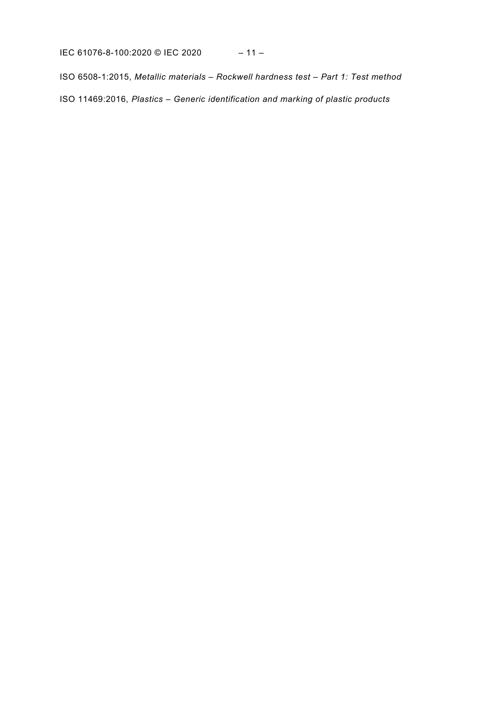IEC 61076-8-100:2020 © IEC 2020 – 11 –

ISO 6508-1:2015, *Metallic materials – Rockwell hardness test – Part 1: Test method* 

<span id="page-10-7"></span><span id="page-10-6"></span><span id="page-10-5"></span><span id="page-10-4"></span><span id="page-10-3"></span><span id="page-10-2"></span><span id="page-10-1"></span><span id="page-10-0"></span>ISO 11469:2016, *Plastics – Generic identification and marking of plastic products*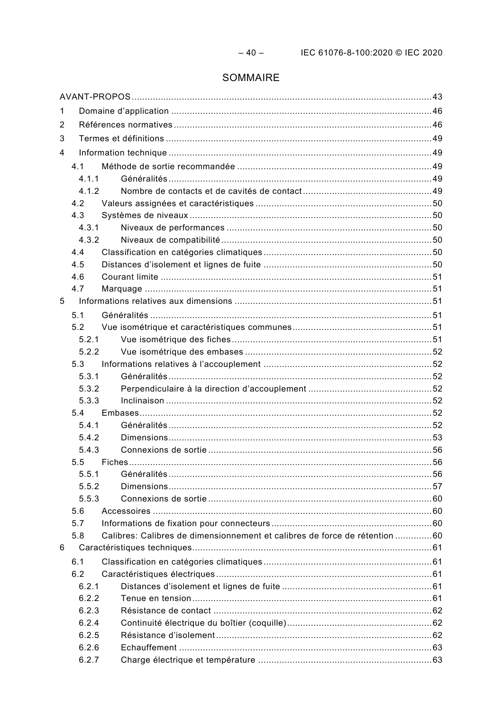# SOMMAIRE

| 1 |       |                                                                            |  |  |
|---|-------|----------------------------------------------------------------------------|--|--|
| 2 |       |                                                                            |  |  |
| 3 |       |                                                                            |  |  |
| 4 |       |                                                                            |  |  |
|   | 4.1   |                                                                            |  |  |
|   | 4.1.1 |                                                                            |  |  |
|   | 4.1.2 |                                                                            |  |  |
|   | 4.2   |                                                                            |  |  |
|   | 4.3   |                                                                            |  |  |
|   | 4.3.1 |                                                                            |  |  |
|   | 4.3.2 |                                                                            |  |  |
|   | 4.4   |                                                                            |  |  |
|   | 4.5   |                                                                            |  |  |
|   | 4.6   |                                                                            |  |  |
|   | 4.7   |                                                                            |  |  |
| 5 |       |                                                                            |  |  |
|   | 5.1   |                                                                            |  |  |
|   | 5.2   |                                                                            |  |  |
|   | 5.2.1 |                                                                            |  |  |
|   | 5.2.2 |                                                                            |  |  |
|   | 5.3   |                                                                            |  |  |
|   | 5.3.1 |                                                                            |  |  |
|   | 5.3.2 |                                                                            |  |  |
|   | 5.3.3 |                                                                            |  |  |
|   | 5.4   |                                                                            |  |  |
|   | 5.4.1 |                                                                            |  |  |
|   | 5.4.2 |                                                                            |  |  |
|   | 5.4.3 |                                                                            |  |  |
|   | 5.5   |                                                                            |  |  |
|   | 5.5.1 |                                                                            |  |  |
|   | 5.5.2 |                                                                            |  |  |
|   | 5.5.3 |                                                                            |  |  |
|   | 5.6   |                                                                            |  |  |
|   | 5.7   |                                                                            |  |  |
|   | 5.8   | Calibres: Calibres de dimensionnement et calibres de force de rétention 60 |  |  |
| 6 |       |                                                                            |  |  |
|   | 6.1   |                                                                            |  |  |
|   | 6.2   |                                                                            |  |  |
|   | 6.2.1 |                                                                            |  |  |
|   | 6.2.2 |                                                                            |  |  |
|   | 6.2.3 |                                                                            |  |  |
|   | 6.2.4 |                                                                            |  |  |
|   | 6.2.5 |                                                                            |  |  |
|   | 6.2.6 |                                                                            |  |  |
|   | 6.2.7 |                                                                            |  |  |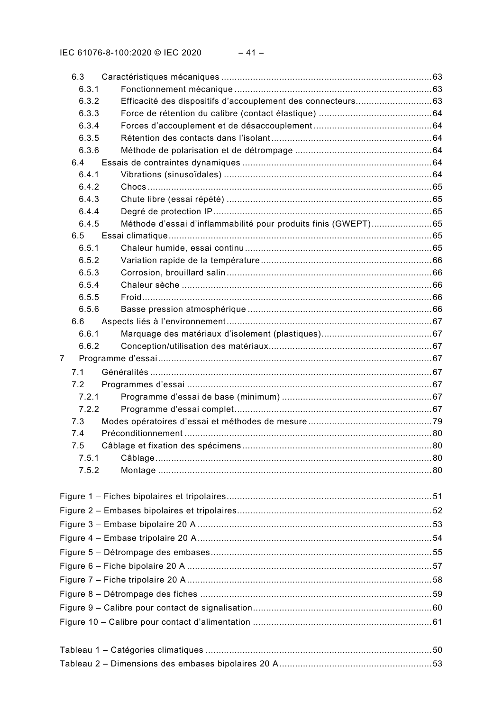| 6.3            |                                                                |  |  |
|----------------|----------------------------------------------------------------|--|--|
| 6.3.1          |                                                                |  |  |
| 6.3.2          | Efficacité des dispositifs d'accouplement des connecteurs63    |  |  |
| 6.3.3          |                                                                |  |  |
| 6.3.4          |                                                                |  |  |
| 6.3.5          |                                                                |  |  |
| 6.3.6          |                                                                |  |  |
| 6.4            |                                                                |  |  |
| 6.4.1          |                                                                |  |  |
| 6.4.2          |                                                                |  |  |
| 6.4.3          |                                                                |  |  |
| 6.4.4          |                                                                |  |  |
| 6.4.5          | Méthode d'essai d'inflammabilité pour produits finis (GWEPT)65 |  |  |
| 6.5            |                                                                |  |  |
| 6.5.1<br>6.5.2 |                                                                |  |  |
| 6.5.3          |                                                                |  |  |
| 6.5.4          |                                                                |  |  |
| 6.5.5          |                                                                |  |  |
| 6.5.6          |                                                                |  |  |
| 6.6            |                                                                |  |  |
| 6.6.1          |                                                                |  |  |
| 6.6.2          |                                                                |  |  |
| $\overline{7}$ |                                                                |  |  |
| 7.1            |                                                                |  |  |
| 7.2            |                                                                |  |  |
| 7.2.1          |                                                                |  |  |
| 7.2.2          |                                                                |  |  |
| 7.3            |                                                                |  |  |
| 7.4            |                                                                |  |  |
| 7.5            |                                                                |  |  |
| 7.5.1          |                                                                |  |  |
| 7.5.2          |                                                                |  |  |
|                |                                                                |  |  |
|                |                                                                |  |  |
|                |                                                                |  |  |
|                |                                                                |  |  |
|                |                                                                |  |  |
|                |                                                                |  |  |
|                |                                                                |  |  |
|                |                                                                |  |  |
|                |                                                                |  |  |
|                |                                                                |  |  |
|                |                                                                |  |  |
|                |                                                                |  |  |
|                |                                                                |  |  |
|                |                                                                |  |  |
|                |                                                                |  |  |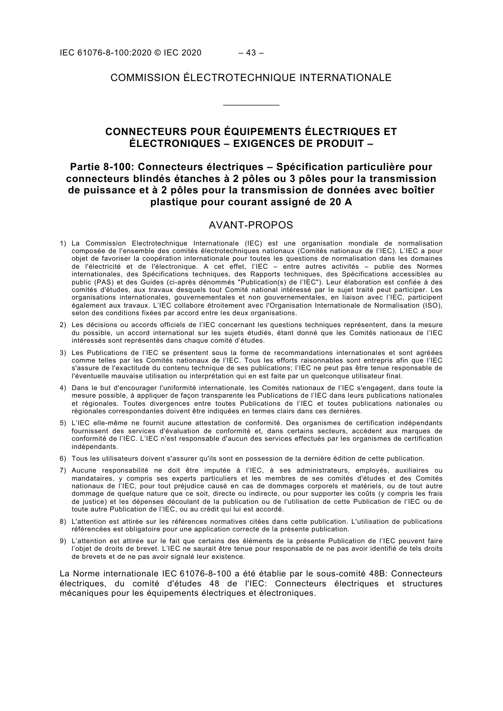#### COMMISSION ÉLECTROTECHNIQUE INTERNATIONALE

\_\_\_\_\_\_\_\_\_\_\_\_

# **CONNECTEURS POUR ÉQUIPEMENTS ÉLECTRIQUES ET ÉLECTRONIQUES – EXIGENCES DE PRODUIT –**

# **Partie 8-100: Connecteurs électriques – Spécification particulière pour connecteurs blindés étanches à 2 pôles ou 3 pôles pour la transmission de puissance et à 2 pôles pour la transmission de données avec boîtier plastique pour courant assigné de 20 A**

#### AVANT-PROPOS

- <span id="page-14-0"></span>1) La Commission Electrotechnique Internationale (IEC) est une organisation mondiale de normalisation composée de l'ensemble des comités électrotechniques nationaux (Comités nationaux de l'IEC). L'IEC a pour objet de favoriser la coopération internationale pour toutes les questions de normalisation dans les domaines de l'électricité et de l'électronique. A cet effet, l'IEC – entre autres activités – publie des Normes internationales, des Spécifications techniques, des Rapports techniques, des Spécifications accessibles au public (PAS) et des Guides (ci-après dénommés "Publication(s) de l'IEC"). Leur élaboration est confiée à des comités d'études, aux travaux desquels tout Comité national intéressé par le sujet traité peut participer. Les organisations internationales, gouvernementales et non gouvernementales, en liaison avec l'IEC, participent également aux travaux. L'IEC collabore étroitement avec l'Organisation Internationale de Normalisation (ISO), selon des conditions fixées par accord entre les deux organisations.
- 2) Les décisions ou accords officiels de l'IEC concernant les questions techniques représentent, dans la mesure du possible, un accord international sur les sujets étudiés, étant donné que les Comités nationaux de l'IEC intéressés sont représentés dans chaque comité d'études.
- 3) Les Publications de l'IEC se présentent sous la forme de recommandations internationales et sont agréées comme telles par les Comités nationaux de l'IEC. Tous les efforts raisonnables sont entrepris afin que l'IEC s'assure de l'exactitude du contenu technique de ses publications; l'IEC ne peut pas être tenue responsable de l'éventuelle mauvaise utilisation ou interprétation qui en est faite par un quelconque utilisateur final.
- 4) Dans le but d'encourager l'uniformité internationale, les Comités nationaux de l'IEC s'engagent, dans toute la mesure possible, à appliquer de façon transparente les Publications de l'IEC dans leurs publications nationales et régionales. Toutes divergences entre toutes Publications de l'IEC et toutes publications nationales ou régionales correspondantes doivent être indiquées en termes clairs dans ces dernières.
- 5) L'IEC elle-même ne fournit aucune attestation de conformité. Des organismes de certification indépendants fournissent des services d'évaluation de conformité et, dans certains secteurs, accèdent aux marques de conformité de l'IEC. L'IEC n'est responsable d'aucun des services effectués par les organismes de certification indépendants.
- 6) Tous les utilisateurs doivent s'assurer qu'ils sont en possession de la dernière édition de cette publication.
- 7) Aucune responsabilité ne doit être imputée à l'IEC, à ses administrateurs, employés, auxiliaires ou mandataires, y compris ses experts particuliers et les membres de ses comités d'études et des Comités nationaux de l'IEC, pour tout préjudice causé en cas de dommages corporels et matériels, ou de tout autre dommage de quelque nature que ce soit, directe ou indirecte, ou pour supporter les coûts (y compris les frais de justice) et les dépenses découlant de la publication ou de l'utilisation de cette Publication de l'IEC ou de toute autre Publication de l'IEC, ou au crédit qui lui est accordé.
- 8) L'attention est attirée sur les références normatives citées dans cette publication. L'utilisation de publications référencées est obligatoire pour une application correcte de la présente publication.
- 9) L'attention est attirée sur le fait que certains des éléments de la présente Publication de l'IEC peuvent faire l'objet de droits de brevet. L'IEC ne saurait être tenue pour responsable de ne pas avoir identifié de tels droits de brevets et de ne pas avoir signalé leur existence.

La Norme internationale IEC 61076-8-100 a été établie par le sous-comité 48B: Connecteurs électriques, du comité d'études 48 de l'IEC: Connecteurs électriques et structures mécaniques pour les équipements électriques et électroniques.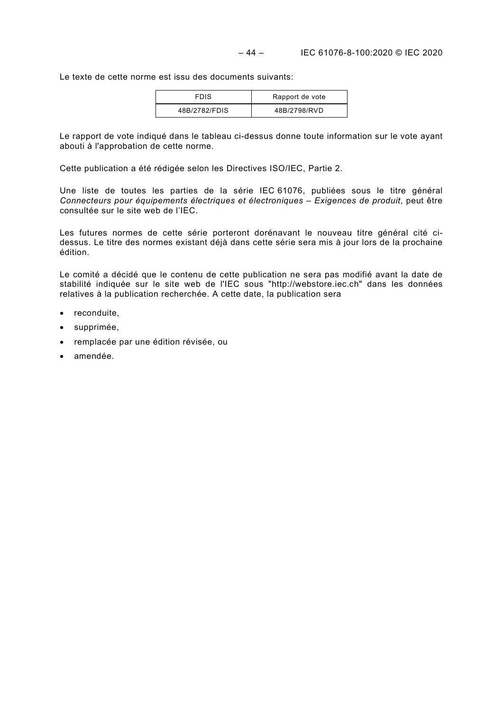Le texte de cette norme est issu des documents suivants:

| <b>FDIS</b>   | Rapport de vote |
|---------------|-----------------|
| 48B/2782/FDIS | 48B/2798/RVD    |

Le rapport de vote indiqué dans le tableau ci-dessus donne toute information sur le vote ayant abouti à l'approbation de cette norme.

Cette publication a été rédigée selon les Directives ISO/IEC, Partie 2.

Une liste de toutes les parties de la série IEC 61076, publiées sous le titre général *Connecteurs pour équipements électriques et électroniques – Exigences de produit*, peut être consultée sur le site web de l'IEC.

Les futures normes de cette série porteront dorénavant le nouveau titre général cité cidessus. Le titre des normes existant déjà dans cette série sera mis à jour lors de la prochaine édition.

Le comité a décidé que le contenu de cette publication ne sera pas modifié avant la date de stabilité indiquée sur le site web de l'IEC sous "http://webstore.iec.ch" dans les données relatives à la publication recherchée. A cette date, la publication sera

- reconduite,
- supprimée,
- remplacée par une édition révisée, ou
- amendée.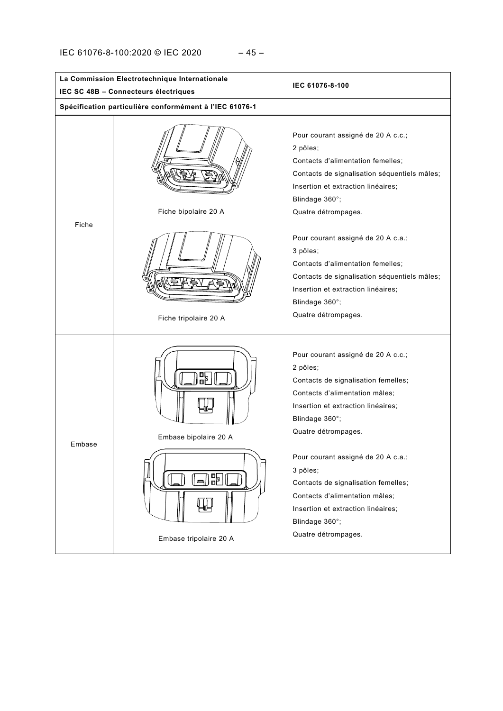|        | La Commission Electrotechnique Internationale<br>IEC SC 48B - Connecteurs électriques | IEC 61076-8-100                                                                                                                                                                                                                                                                                                                                                                                                  |
|--------|---------------------------------------------------------------------------------------|------------------------------------------------------------------------------------------------------------------------------------------------------------------------------------------------------------------------------------------------------------------------------------------------------------------------------------------------------------------------------------------------------------------|
|        | Spécification particulière conformément à l'IEC 61076-1                               |                                                                                                                                                                                                                                                                                                                                                                                                                  |
| Fiche  | Fiche bipolaire 20 A                                                                  | Pour courant assigné de 20 A c.c.;<br>2 pôles;<br>Contacts d'alimentation femelles;<br>Contacts de signalisation séquentiels mâles;<br>Insertion et extraction linéaires;<br>Blindage 360°;<br>Quatre détrompages.                                                                                                                                                                                               |
|        | Fiche tripolaire 20 A                                                                 | Pour courant assigné de 20 A c.a.;<br>3 pôles;<br>Contacts d'alimentation femelles;<br>Contacts de signalisation séquentiels mâles;<br>Insertion et extraction linéaires;<br>Blindage 360°;<br>Quatre détrompages.                                                                                                                                                                                               |
| Embase | Embase bipolaire 20 A<br>$\Box$ il<br>Embase tripolaire 20 A                          | Pour courant assigné de 20 A c.c.;<br>2 pôles;<br>Contacts de signalisation femelles;<br>Contacts d'alimentation mâles;<br>Insertion et extraction linéaires;<br>Blindage 360°;<br>Quatre détrompages.<br>Pour courant assigné de 20 A c.a.;<br>3 pôles;<br>Contacts de signalisation femelles;<br>Contacts d'alimentation mâles;<br>Insertion et extraction linéaires;<br>Blindage 360°;<br>Quatre détrompages. |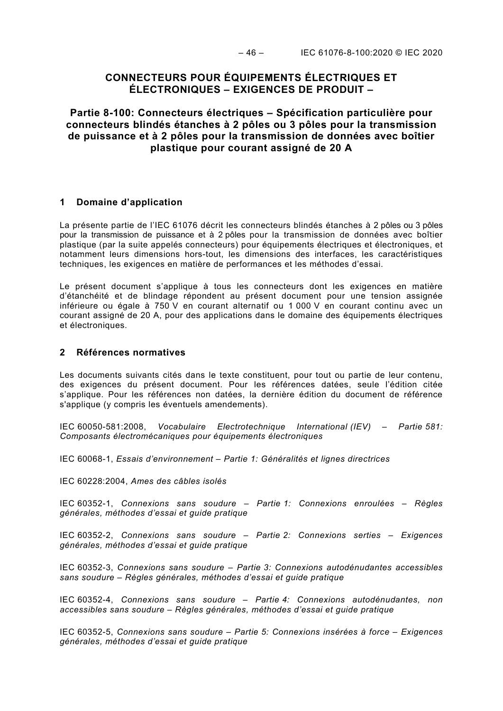# **CONNECTEURS POUR ÉQUIPEMENTS ÉLECTRIQUES ET ÉLECTRONIQUES – EXIGENCES DE PRODUIT –**

**Partie 8-100: Connecteurs électriques – Spécification particulière pour connecteurs blindés étanches à 2 pôles ou 3 pôles pour la transmission de puissance et à 2 pôles pour la transmission de données avec boîtier plastique pour courant assigné de 20 A** 

#### <span id="page-17-0"></span>**1 Domaine d'application**

La présente partie de l'IEC 61076 décrit les connecteurs blindés étanches à 2 pôles ou 3 pôles pour la transmission de puissance et à 2 pôles pour la transmission de données avec boîtier plastique (par la suite appelés connecteurs) pour équipements électriques et électroniques, et notamment leurs dimensions hors-tout, les dimensions des interfaces, les caractéristiques techniques, les exigences en matière de performances et les méthodes d'essai.

Le présent document s'applique à tous les connecteurs dont les exigences en matière d'étanchéité et de blindage répondent au présent document pour une tension assignée inférieure ou égale à 750 V en courant alternatif ou 1 000 V en courant continu avec un courant assigné de 20 A, pour des applications dans le domaine des équipements électriques et électroniques.

#### <span id="page-17-1"></span>**2 Références normatives**

Les documents suivants cités dans le texte constituent, pour tout ou partie de leur contenu, des exigences du présent document. Pour les références datées, seule l'édition citée s'applique. Pour les références non datées, la dernière édition du document de référence s'applique (y compris les éventuels amendements).

IEC 60050-581:2008, *Vocabulaire Electrotechnique International (IEV) – Partie 581: Composants électromécaniques pour équipements électroniques*

IEC 60068-1, *Essais d'environnement – Partie 1: Généralités et lignes directrices*

IEC 60228:2004, *Ames des câbles isolés*

IEC 60352-1, *Connexions sans soudure – Partie 1: Connexions enroulées – Règles générales, méthodes d'essai et guide pratique*

IEC 60352-2, *Connexions sans soudure – Partie 2: Connexions serties – Exigences générales, méthodes d'essai et guide pratique*

IEC 60352-3, *Connexions sans soudure – Partie 3: Connexions autodénudantes accessibles sans soudure – Règles générales, méthodes d'essai et guide pratique*

IEC 60352-4, *Connexions sans soudure – Partie 4: Connexions autodénudantes, non accessibles sans soudure – Règles générales, méthodes d'essai et guide pratique*

IEC 60352-5, *Connexions sans soudure – Partie 5: Connexions insérées à force – Exigences générales, méthodes d'essai et guide pratique*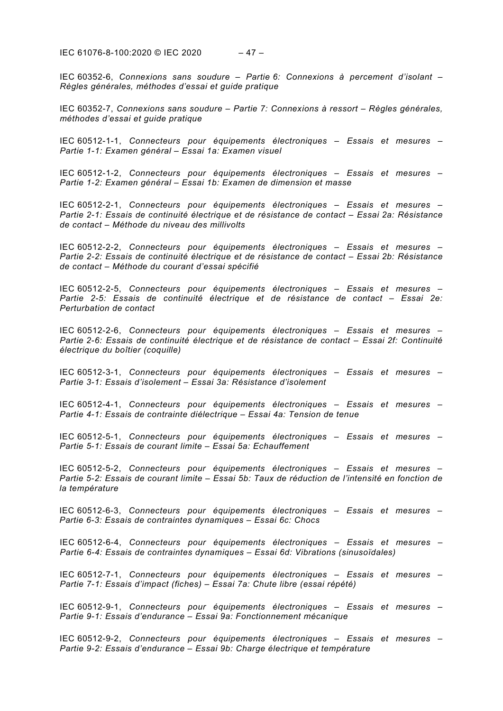IEC 61076-8-100:2020 © IEC 2020 – 47 –

IEC 60352-6, *Connexions sans soudure – Partie 6: Connexions à percement d'isolant – Règles générales, méthodes d'essai et guide pratique*

IEC 60352-7, *Connexions sans soudure – Partie 7: Connexions à ressort – Règles générales, méthodes d'essai et guide pratique*

IEC 60512-1-1, *Connecteurs pour équipements électroniques – Essais et mesures – Partie 1-1: Examen général – Essai 1a: Examen visuel*

IEC 60512-1-2, *Connecteurs pour équipements électroniques – Essais et mesures – Partie 1-2: Examen général – Essai 1b: Examen de dimension et masse*

IEC 60512-2-1, *Connecteurs pour équipements électroniques – Essais et mesures – Partie 2-1: Essais de continuité électrique et de résistance de contact – Essai 2a: Résistance de contact – Méthode du niveau des millivolts*

IEC 60512-2-2, *Connecteurs pour équipements électroniques – Essais et mesures – Partie 2-2: Essais de continuité électrique et de résistance de contact – Essai 2b: Résistance de contact – Méthode du courant d'essai spécifié*

IEC 60512-2-5, *Connecteurs pour équipements électroniques – Essais et mesures – Partie 2-5: Essais de continuité électrique et de résistance de contact – Essai 2e: Perturbation de contact*

IEC 60512-2-6, *Connecteurs pour équipements électroniques – Essais et mesures – Partie 2-6: Essais de continuité électrique et de résistance de contact – Essai 2f: Continuité électrique du boîtier (coquille)*

IEC 60512-3-1, *Connecteurs pour équipements électroniques – Essais et mesures – Partie 3-1: Essais d'isolement – Essai 3a: Résistance d'isolement*

IEC 60512-4-1, *Connecteurs pour équipements électroniques – Essais et mesures – Partie 4-1: Essais de contrainte diélectrique – Essai 4a: Tension de tenue*

IEC 60512-5-1, *Connecteurs pour équipements électroniques – Essais et mesures – Partie 5-1: Essais de courant limite – Essai 5a: Echauffement*

IEC 60512-5-2, *Connecteurs pour équipements électroniques – Essais et mesures – Partie 5-2: Essais de courant limite – Essai 5b: Taux de réduction de l'intensité en fonction de la température*

IEC 60512-6-3, *Connecteurs pour équipements électroniques – Essais et mesures – Partie 6-3: Essais de contraintes dynamiques – Essai 6c: Chocs*

IEC 60512-6-4, *Connecteurs pour équipements électroniques – Essais et mesures – Partie 6-4: Essais de contraintes dynamiques – Essai 6d: Vibrations (sinusoïdales)*

IEC 60512-7-1, *Connecteurs pour équipements électroniques – Essais et mesures – Partie 7-1: Essais d'impact (fiches) – Essai 7a: Chute libre (essai répété)*

IEC 60512-9-1, *Connecteurs pour équipements électroniques – Essais et mesures – Partie 9-1: Essais d'endurance – Essai 9a: Fonctionnement mécanique*

IEC 60512-9-2, *Connecteurs pour équipements électroniques – Essais et mesures – Partie 9-2: Essais d'endurance – Essai 9b: Charge électrique et température*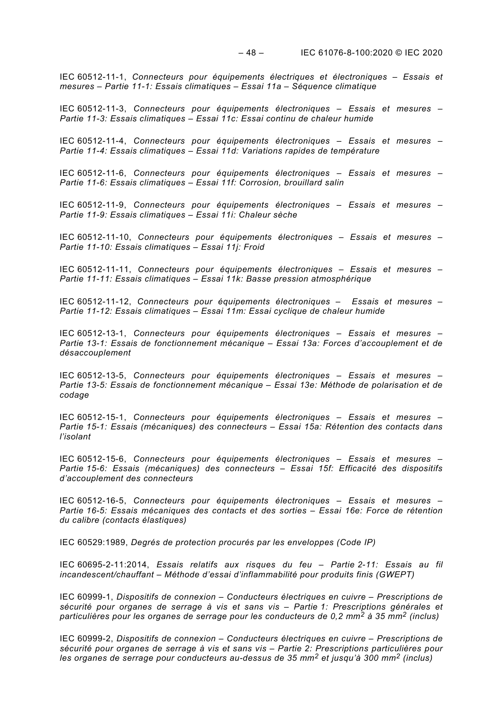IEC 60512-11-1, *Connecteurs pour équipements électriques et électroniques – Essais et mesures – Partie 11-1: Essais climatiques – Essai 11a – Séquence climatique*

IEC 60512-11-3, *Connecteurs pour équipements électroniques – Essais et mesures – Partie 11-3: Essais climatiques – Essai 11c: Essai continu de chaleur humide*

IEC 60512-11-4, *Connecteurs pour équipements électroniques – Essais et mesures – Partie 11-4: Essais climatiques – Essai 11d: Variations rapides de température*

IEC 60512-11-6, *Connecteurs pour équipements électroniques – Essais et mesures – Partie 11-6: Essais climatiques – Essai 11f: Corrosion, brouillard salin*

IEC 60512-11-9, *Connecteurs pour équipements électroniques – Essais et mesures – Partie 11-9: Essais climatiques – Essai 11i: Chaleur sèche*

IEC 60512-11-10, *Connecteurs pour équipements électroniques – Essais et mesures – Partie 11-10: Essais climatiques – Essai 11j: Froid*

IEC 60512-11-11, *Connecteurs pour équipements électroniques – Essais et mesures – Partie 11-11: Essais climatiques – Essai 11k: Basse pression atmosphérique*

IEC 60512-11-12, *Connecteurs pour équipements électroniques – Essais et mesures – Partie 11-12: Essais climatiques – Essai 11m: Essai cyclique de chaleur humide*

IEC 60512-13-1, *Connecteurs pour équipements électroniques – Essais et mesures – Partie 13-1: Essais de fonctionnement mécanique – Essai 13a: Forces d'accouplement et de désaccouplement*

IEC 60512-13-5, *Connecteurs pour équipements électroniques – Essais et mesures – Partie 13-5: Essais de fonctionnement mécanique – Essai 13e: Méthode de polarisation et de codage* 

IEC 60512-15-1, *Connecteurs pour équipements électroniques – Essais et mesures – Partie 15-1: Essais (mécaniques) des connecteurs – Essai 15a: Rétention des contacts dans l'isolant*

IEC 60512-15-6, *Connecteurs pour équipements électroniques – Essais et mesures – Partie 15-6: Essais (mécaniques) des connecteurs – Essai 15f: Efficacité des dispositifs d'accouplement des connecteurs*

IEC 60512-16-5, *Connecteurs pour équipements électroniques – Essais et mesures – Partie 16-5: Essais mécaniques des contacts et des sorties – Essai 16e: Force de rétention du calibre (contacts élastiques)*

IEC 60529:1989, *Degrés de protection procurés par les enveloppes (Code IP)*

IEC 60695-2-11:2014, *Essais relatifs aux risques du feu – Partie 2-11: Essais au fil incandescent/chauffant – Méthode d'essai d'inflammabilité pour produits finis (GWEPT)*

IEC 60999-1, *Dispositifs de connexion – Conducteurs électriques en cuivre – Prescriptions de sécurité pour organes de serrage à vis et sans vis – Partie 1: Prescriptions générales et particulières pour les organes de serrage pour les conducteurs de 0,2 mm<sup>2</sup> à 35 mm<sup>2</sup> (inclus)*

IEC 60999-2, *Dispositifs de connexion – Conducteurs électriques en cuivre – Prescriptions de sécurité pour organes de serrage à vis et sans vis – Partie 2: Prescriptions particulières pour les organes de serrage pour conducteurs au-dessus de 35 mm<sup>2</sup> et jusqu'à 300 mm<sup>2</sup> (inclus)*